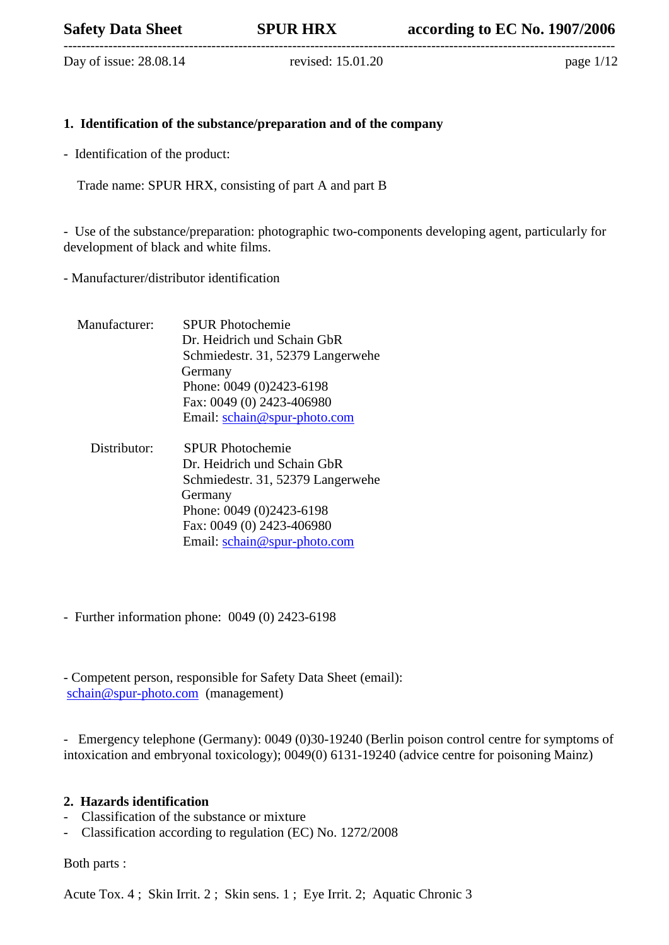Day of issue: 28.08.14 revised: 15.01.20 page 1/12

# **1. Identification of the substance/preparation and of the company**

- Identification of the product:

Trade name: SPUR HRX, consisting of part A and part B

- Use of the substance/preparation: photographic two-components developing agent, particularly for development of black and white films.

- Manufacturer/distributor identification

Manufacturer: SPUR Photochemie Dr. Heidrich und Schain GbR Schmiedestr. 31, 52379 Langerwehe Germany Phone: 0049 (0)2423-6198 Fax: 0049 (0) 2423-406980 Email: [schain@spur-photo.com](mailto:schain@spur-photo.com)

 Distributor: SPUR Photochemie Dr. Heidrich und Schain GbR Schmiedestr. 31, 52379 Langerwehe Germany Phone: 0049 (0)2423-6198 Fax: 0049 (0) 2423-406980 Email: [schain@spur-photo.com](mailto:schain@spur-photo.com)

- Further information phone: 0049 (0) 2423-6198

- Competent person, responsible for Safety Data Sheet (email): [schain@spur-photo.com](mailto:schain@spur-photo.com) (management)

- Emergency telephone (Germany): 0049 (0)30-19240 (Berlin poison control centre for symptoms of intoxication and embryonal toxicology); 0049(0) 6131-19240 (advice centre for poisoning Mainz)

#### **2. Hazards identification**

- Classification of the substance or mixture
- Classification according to regulation (EC) No. 1272/2008

Both parts :

Acute Tox. 4 ; Skin Irrit. 2 ; Skin sens. 1 ; Eye Irrit. 2; Aquatic Chronic 3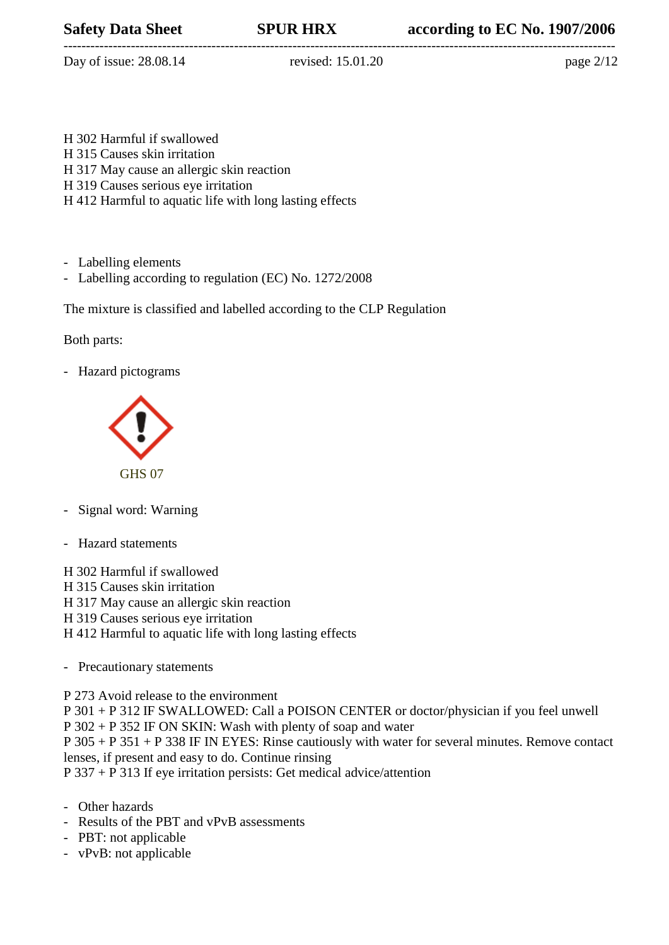--------------------------------------------------------------------------------------------------------------------------- Day of issue: 28.08.14 revised: 15.01.20 page 2/12

- H 302 Harmful if swallowed H 315 Causes skin irritation
- H 317 May cause an allergic skin reaction
- H 319 Causes serious eye irritation
- H 412 Harmful to aquatic life with long lasting effects
- Labelling elements
- Labelling according to regulation (EC) No. 1272/2008

The mixture is classified and labelled according to the CLP Regulation

## Both parts:

- Hazard pictograms



- Signal word: Warning
- Hazard statements

H 302 Harmful if swallowed H 315 Causes skin irritation

- H 317 May cause an allergic skin reaction
- H 319 Causes serious eye irritation
- H 412 Harmful to aquatic life with long lasting effects
- Precautionary statements

P 273 Avoid release to the environment

P 301 + P 312 IF SWALLOWED: Call a POISON CENTER or doctor/physician if you feel unwell P 302 + P 352 IF ON SKIN: Wash with plenty of soap and water

P 305 + P 351 + P 338 IF IN EYES: Rinse cautiously with water for several minutes. Remove contact lenses, if present and easy to do. Continue rinsing

P 337 + P 313 If eye irritation persists: Get medical advice/attention

- Other hazards

- Results of the PBT and vPvB assessments
- PBT: not applicable
- vPvB: not applicable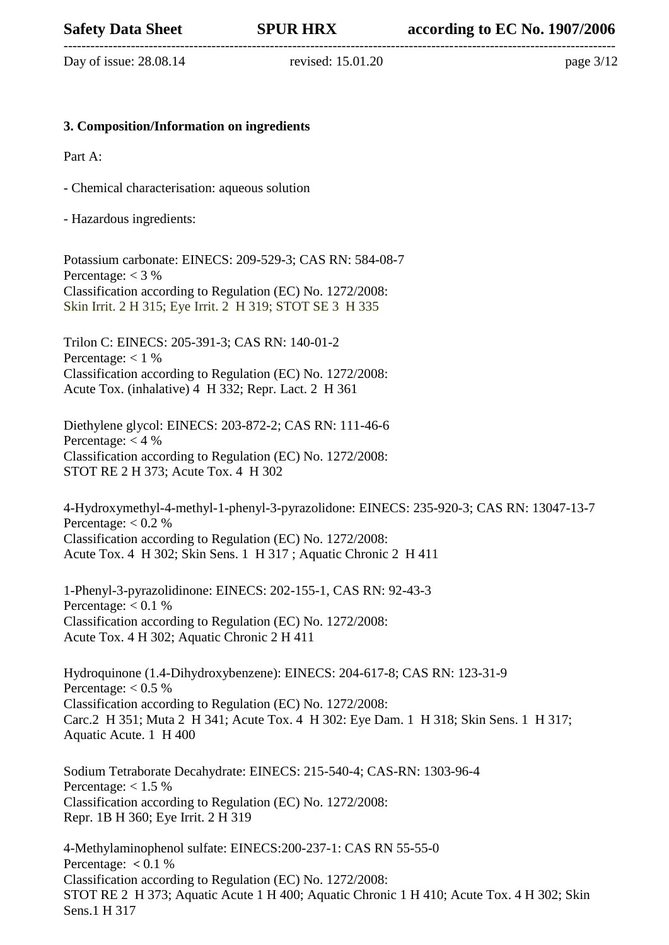Day of issue: 28.08.14 revised: 15.01.20 page 3/12

### **3. Composition/Information on ingredients**

Part A:

- Chemical characterisation: aqueous solution

- Hazardous ingredients:

Potassium carbonate: EINECS: 209-529-3; CAS RN: 584-08-7 Percentage:  $<$  3 % Classification according to Regulation (EC) No. 1272/2008: Skin Irrit. 2 H 315; Eye Irrit. 2 H 319; STOT SE 3 H 335

Trilon C: EINECS: 205-391-3; CAS RN: 140-01-2 Percentage:  $< 1 \%$ Classification according to Regulation (EC) No. 1272/2008: Acute Tox. (inhalative) 4 H 332; Repr. Lact. 2 H 361

Diethylene glycol: EINECS: 203-872-2; CAS RN: 111-46-6 Percentage:  $<$  4 % Classification according to Regulation (EC) No. 1272/2008: STOT RE 2 H 373; Acute Tox. 4 H 302

4-Hydroxymethyl-4-methyl-1-phenyl-3-pyrazolidone: EINECS: 235-920-3; CAS RN: 13047-13-7 Percentage:  $< 0.2 \%$ Classification according to Regulation (EC) No. 1272/2008: Acute Tox. 4 H 302; Skin Sens. 1 H 317 ; Aquatic Chronic 2 H 411

1-Phenyl-3-pyrazolidinone: EINECS: 202-155-1, CAS RN: 92-43-3 Percentage:  $< 0.1 \%$ Classification according to Regulation (EC) No. 1272/2008: Acute Tox. 4 H 302; Aquatic Chronic 2 H 411

Hydroquinone (1.4-Dihydroxybenzene): EINECS: 204-617-8; CAS RN: 123-31-9 Percentage:  $< 0.5 \%$ Classification according to Regulation (EC) No. 1272/2008: Carc.2 H 351; Muta 2 H 341; Acute Tox. 4 H 302: Eye Dam. 1 H 318; Skin Sens. 1 H 317; Aquatic Acute. 1 H 400

Sodium Tetraborate Decahydrate: EINECS: 215-540-4; CAS-RN: 1303-96-4 Percentage:  $< 1.5 \%$ Classification according to Regulation (EC) No. 1272/2008: Repr. 1B H 360; Eye Irrit. 2 H 319

4-Methylaminophenol sulfate: EINECS:200-237-1: CAS RN 55-55-0 Percentage: **<** 0.1 % Classification according to Regulation (EC) No. 1272/2008: STOT RE 2 H 373; Aquatic Acute 1 H 400; Aquatic Chronic 1 H 410; Acute Tox. 4 H 302; Skin Sens.1 H 317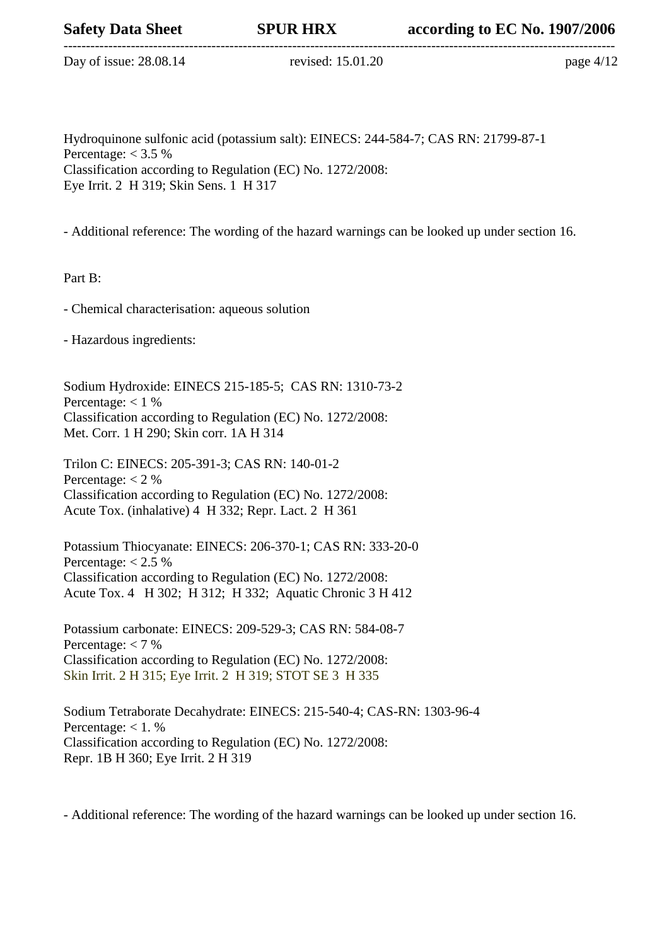Day of issue: 28.08.14 revised: 15.01.20 page 4/12

Hydroquinone sulfonic acid (potassium salt): EINECS: 244-584-7; CAS RN: 21799-87-1 Percentage:  $<$  3.5 % Classification according to Regulation (EC) No. 1272/2008: Eye Irrit. 2 H 319; Skin Sens. 1 H 317

- Additional reference: The wording of the hazard warnings can be looked up under section 16.

Part B:

- Chemical characterisation: aqueous solution

- Hazardous ingredients:

Sodium Hydroxide: EINECS 215-185-5; CAS RN: 1310-73-2 Percentage:  $< 1 \%$ Classification according to Regulation (EC) No. 1272/2008: Met. Corr. 1 H 290; Skin corr. 1A H 314

Trilon C: EINECS: 205-391-3; CAS RN: 140-01-2 Percentage:  $<$  2 % Classification according to Regulation (EC) No. 1272/2008: Acute Tox. (inhalative) 4 H 332; Repr. Lact. 2 H 361

Potassium Thiocyanate: EINECS: 206-370-1; CAS RN: 333-20-0 Percentage:  $< 2.5 \%$ Classification according to Regulation (EC) No. 1272/2008: Acute Tox. 4 H 302; H 312; H 332; Aquatic Chronic 3 H 412

Potassium carbonate: EINECS: 209-529-3; CAS RN: 584-08-7 Percentage:  $<$  7 % Classification according to Regulation (EC) No. 1272/2008: Skin Irrit. 2 H 315; Eye Irrit. 2 H 319; STOT SE 3 H 335

Sodium Tetraborate Decahydrate: EINECS: 215-540-4; CAS-RN: 1303-96-4 Percentage:  $< 1. \%$ Classification according to Regulation (EC) No. 1272/2008: Repr. 1B H 360; Eye Irrit. 2 H 319

- Additional reference: The wording of the hazard warnings can be looked up under section 16.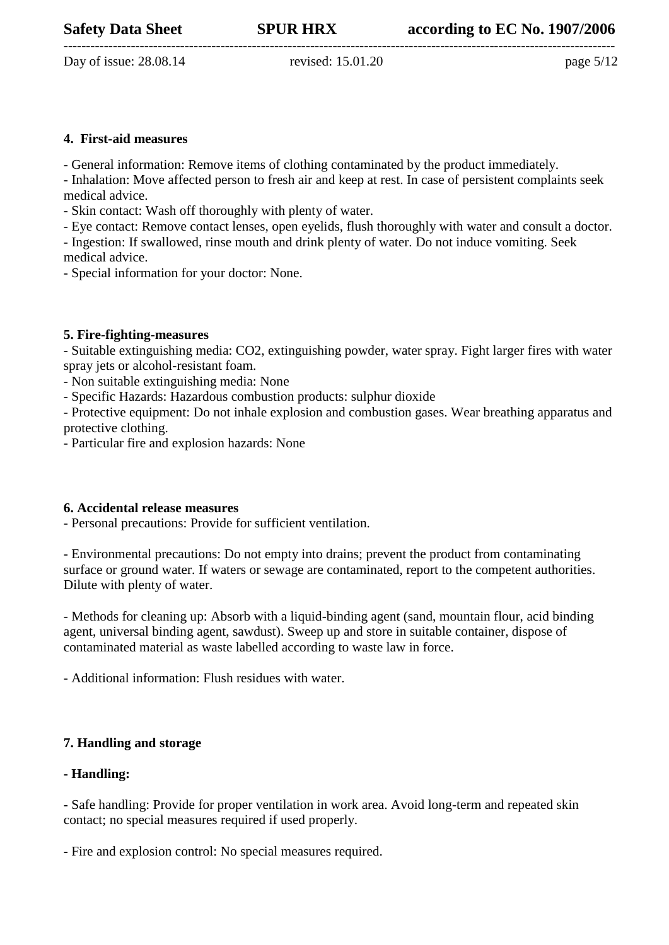--------------------------------------------------------------------------------------------------------------------------- Day of issue: 28.08.14 revised: 15.01.20 page 5/12

### **4. First-aid measures**

- General information: Remove items of clothing contaminated by the product immediately.

- Inhalation: Move affected person to fresh air and keep at rest. In case of persistent complaints seek medical advice.

- Skin contact: Wash off thoroughly with plenty of water.

- Eye contact: Remove contact lenses, open eyelids, flush thoroughly with water and consult a doctor.

- Ingestion: If swallowed, rinse mouth and drink plenty of water. Do not induce vomiting. Seek medical advice.

- Special information for your doctor: None.

## **5. Fire-fighting-measures**

- Suitable extinguishing media: CO2, extinguishing powder, water spray. Fight larger fires with water spray jets or alcohol-resistant foam.

- Non suitable extinguishing media: None

- Specific Hazards: Hazardous combustion products: sulphur dioxide

- Protective equipment: Do not inhale explosion and combustion gases. Wear breathing apparatus and protective clothing.

- Particular fire and explosion hazards: None

# **6. Accidental release measures**

- Personal precautions: Provide for sufficient ventilation.

- Environmental precautions: Do not empty into drains; prevent the product from contaminating surface or ground water. If waters or sewage are contaminated, report to the competent authorities. Dilute with plenty of water.

- Methods for cleaning up: Absorb with a liquid-binding agent (sand, mountain flour, acid binding agent, universal binding agent, sawdust). Sweep up and store in suitable container, dispose of contaminated material as waste labelled according to waste law in force.

- Additional information: Flush residues with water.

# **7. Handling and storage**

# **- Handling:**

**-** Safe handling: Provide for proper ventilation in work area. Avoid long-term and repeated skin contact; no special measures required if used properly.

**-** Fire and explosion control: No special measures required.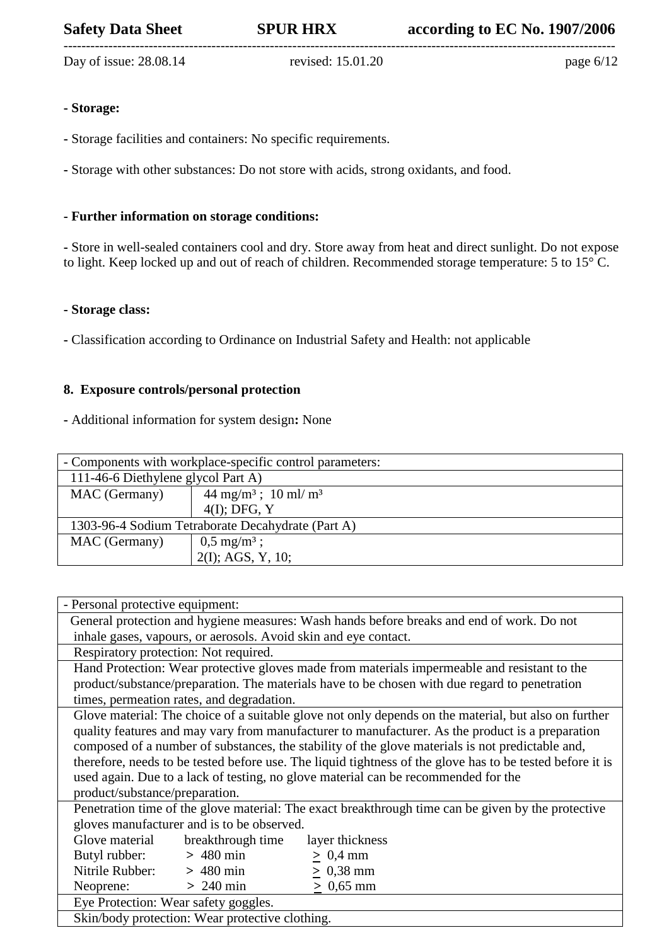Day of issue: 28.08.14 revised: 15.01.20 page 6/12

---------------------------------------------------------------------------------------------------------------------------

# **- Storage:**

**-** Storage facilities and containers: No specific requirements.

**-** Storage with other substances: Do not store with acids, strong oxidants, and food.

## **- Further information on storage conditions:**

**-** Store in well-sealed containers cool and dry. Store away from heat and direct sunlight. Do not expose to light. Keep locked up and out of reach of children. Recommended storage temperature: 5 to 15° C.

#### **- Storage class:**

**-** Classification according to Ordinance on Industrial Safety and Health: not applicable

## **8. Exposure controls/personal protection**

**-** Additional information for system design**:** None

| - Components with workplace-specific control parameters: |                                           |  |  |
|----------------------------------------------------------|-------------------------------------------|--|--|
| 111-46-6 Diethylene glycol Part A)                       |                                           |  |  |
| MAC (Germany)                                            | $44 \text{ mg/m}^3$ ; $10 \text{ ml/m}^3$ |  |  |
|                                                          | $4(I)$ ; DFG, Y                           |  |  |
| 1303-96-4 Sodium Tetraborate Decahydrate (Part A)        |                                           |  |  |
| MAC (Germany)                                            | $0,5 \text{ mg/m}^3$ ;                    |  |  |
|                                                          | $2(I)$ ; AGS, Y, 10;                      |  |  |

| - Personal protective equipment:                                                                          |  |  |  |
|-----------------------------------------------------------------------------------------------------------|--|--|--|
| General protection and hygiene measures: Wash hands before breaks and end of work. Do not                 |  |  |  |
| inhale gases, vapours, or aerosols. Avoid skin and eye contact.                                           |  |  |  |
| Respiratory protection: Not required.                                                                     |  |  |  |
| Hand Protection: Wear protective gloves made from materials impermeable and resistant to the              |  |  |  |
| product/substance/preparation. The materials have to be chosen with due regard to penetration             |  |  |  |
| times, permeation rates, and degradation.                                                                 |  |  |  |
| Glove material: The choice of a suitable glove not only depends on the material, but also on further      |  |  |  |
| quality features and may vary from manufacturer to manufacturer. As the product is a preparation          |  |  |  |
| composed of a number of substances, the stability of the glove materials is not predictable and,          |  |  |  |
| therefore, needs to be tested before use. The liquid tightness of the glove has to be tested before it is |  |  |  |
| used again. Due to a lack of testing, no glove material can be recommended for the                        |  |  |  |
| product/substance/preparation.                                                                            |  |  |  |
| Penetration time of the glove material: The exact breakthrough time can be given by the protective        |  |  |  |
| gloves manufacturer and is to be observed.                                                                |  |  |  |
| Glove material<br>breakthrough time<br>layer thickness                                                    |  |  |  |
| Butyl rubber: $> 480 \text{ min}$<br>$\geq 0.4$ mm                                                        |  |  |  |
| Nitrile Rubber: $> 480$ min<br>$\geq 0.38$ mm                                                             |  |  |  |
| $> 240$ min<br>$\geq 0.65$ mm<br>Neoprene:                                                                |  |  |  |
| Eye Protection: Wear safety goggles.                                                                      |  |  |  |
| Skin/body protection: Wear protective clothing.                                                           |  |  |  |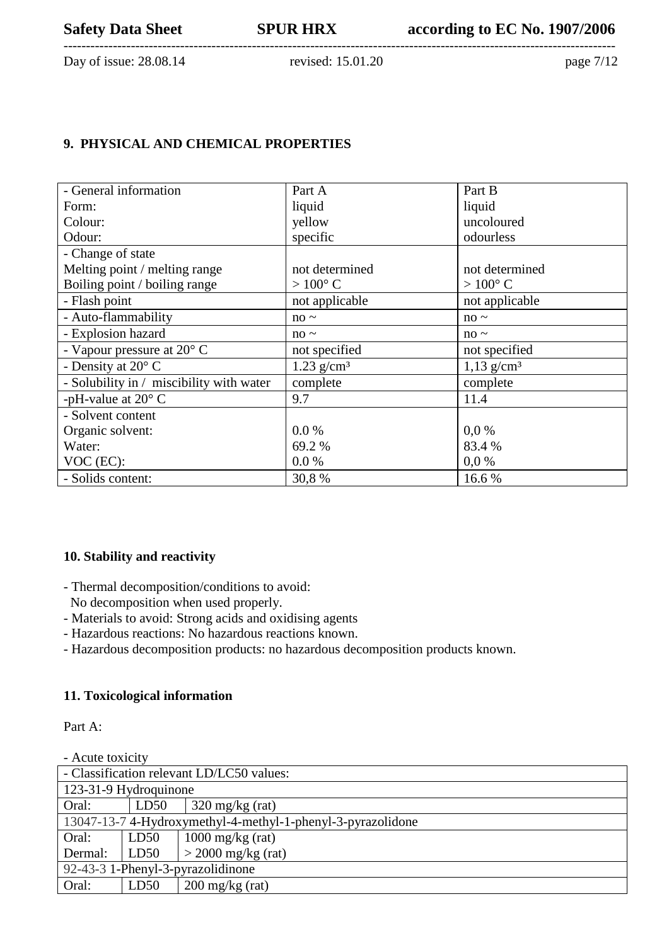Day of issue: 28.08.14 revised: 15.01.20 page 7/12

# **9. PHYSICAL AND CHEMICAL PROPERTIES**

| - General information                    | Part A           | Part B                   |
|------------------------------------------|------------------|--------------------------|
| Form:                                    | liquid           | liquid                   |
| Colour:                                  | yellow           | uncoloured               |
| Odour:                                   | specific         | odourless                |
| - Change of state                        |                  |                          |
| Melting point / melting range            | not determined   | not determined           |
| Boiling point / boiling range            | $>100^{\circ}$ C | $>100^{\circ}$ C         |
| - Flash point                            | not applicable   | not applicable           |
| - Auto-flammability                      | $no \sim$        | $no \sim$                |
| - Explosion hazard                       | $no \sim$        | $no \sim$                |
| - Vapour pressure at $20^{\circ}$ C      | not specified    | not specified            |
| - Density at 20° C                       | 1.23 $g/cm^3$    | $1,13$ g/cm <sup>3</sup> |
| - Solubility in / miscibility with water | complete         | complete                 |
| -pH-value at $20^{\circ}$ C              | 9.7              | 11.4                     |
| - Solvent content                        |                  |                          |
| Organic solvent:                         | $0.0\%$          | 0.0 %                    |
| Water:                                   | 69.2 %           | 83.4 %                   |
| VOC (EC):                                | 0.0 %            | 0.0 %                    |
| - Solids content:                        | 30,8%            | 16.6 %                   |

# **10. Stability and reactivity**

- Thermal decomposition/conditions to avoid:
- No decomposition when used properly.
- Materials to avoid: Strong acids and oxidising agents
- Hazardous reactions: No hazardous reactions known.
- Hazardous decomposition products: no hazardous decomposition products known.

# **11. Toxicological information**

Part A:

- Acute toxicity - Classification relevant LD/LC50 values: 123-31-9 Hydroquinone Oral: LD50 320 mg/kg (rat) 13047-13-7 4-Hydroxymethyl-4-methyl-1-phenyl-3-pyrazolidone Oral: Dermal: LD50 LD50 1000 mg/kg (rat)  $>$  2000 mg/kg (rat) 92-43-3 1-Phenyl-3-pyrazolidinone Oral: LD50 200 mg/kg (rat)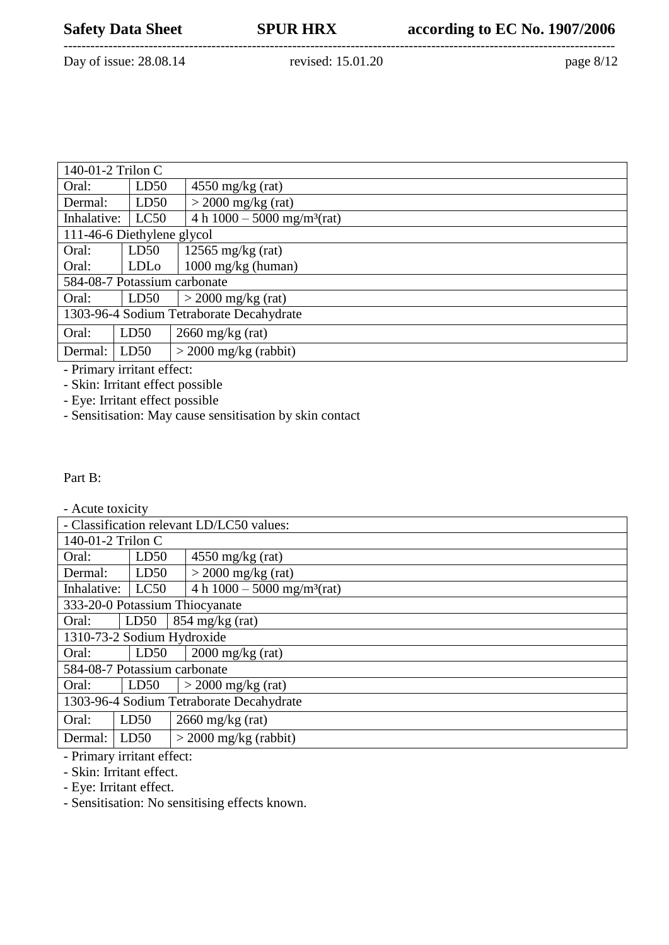--------------------------------------------------------------------------------------------------------------------------- Day of issue: 28.08.14 revised: 15.01.20 page 8/12

| 140-01-2 Trilon C                        |                  |                                           |  |
|------------------------------------------|------------------|-------------------------------------------|--|
| Oral:                                    | LD50             | $4550$ mg/kg (rat)                        |  |
| Dermal:                                  | LD50             | $>$ 2000 mg/kg (rat)                      |  |
| Inhalative:                              | LC50             | 4 h $1000 - 5000$ mg/m <sup>3</sup> (rat) |  |
| 111-46-6 Diethylene glycol               |                  |                                           |  |
| Oral:                                    | LD50             | 12565 mg/kg $(rat)$                       |  |
| Oral:                                    | LDL <sub>o</sub> | $1000 \text{ mg/kg}$ (human)              |  |
| 584-08-7 Potassium carbonate             |                  |                                           |  |
| Oral:                                    | LD50             | $>$ 2000 mg/kg (rat)                      |  |
| 1303-96-4 Sodium Tetraborate Decahydrate |                  |                                           |  |
| Oral:                                    | LD50             | $2660$ mg/kg (rat)                        |  |
| Dermal:                                  | LD50             | $>$ 2000 mg/kg (rabbit)                   |  |

- Primary irritant effect:

- Skin: Irritant effect possible

- Eye: Irritant effect possible

- Sensitisation: May cause sensitisation by skin contact

Part B:

| Acute toxicity |  |
|----------------|--|
|----------------|--|

| - Classification relevant LD/LC50 values: |                                                   |                                          |  |
|-------------------------------------------|---------------------------------------------------|------------------------------------------|--|
|                                           | 140-01-2 Trilon C                                 |                                          |  |
| Oral:                                     | LD50                                              | $4550$ mg/kg (rat)                       |  |
| Dermal:                                   | LD50                                              | $>$ 2000 mg/kg (rat)                     |  |
| Inhalative:                               | 4 h $1000 - 5000$ mg/m <sup>3</sup> (rat)<br>LC50 |                                          |  |
|                                           |                                                   | 333-20-0 Potassium Thiocyanate           |  |
| Oral:                                     | LD50                                              | $854 \text{ mg/kg}$ (rat)                |  |
| 1310-73-2 Sodium Hydroxide                |                                                   |                                          |  |
| Oral:                                     | LD50                                              | $2000 \frac{\text{mg}}{\text{kg}}$ (rat) |  |
| 584-08-7 Potassium carbonate              |                                                   |                                          |  |
| Oral:                                     | LD50                                              | $>$ 2000 mg/kg (rat)                     |  |
| 1303-96-4 Sodium Tetraborate Decahydrate  |                                                   |                                          |  |
| Oral:                                     | LD50                                              | $2660$ mg/kg (rat)                       |  |
| Dermal:                                   | LD50                                              | $>$ 2000 mg/kg (rabbit)                  |  |
| $\mathbf{r}$ .                            |                                                   |                                          |  |

- Primary irritant effect:

- Skin: Irritant effect.

- Eye: Irritant effect.

- Sensitisation: No sensitising effects known.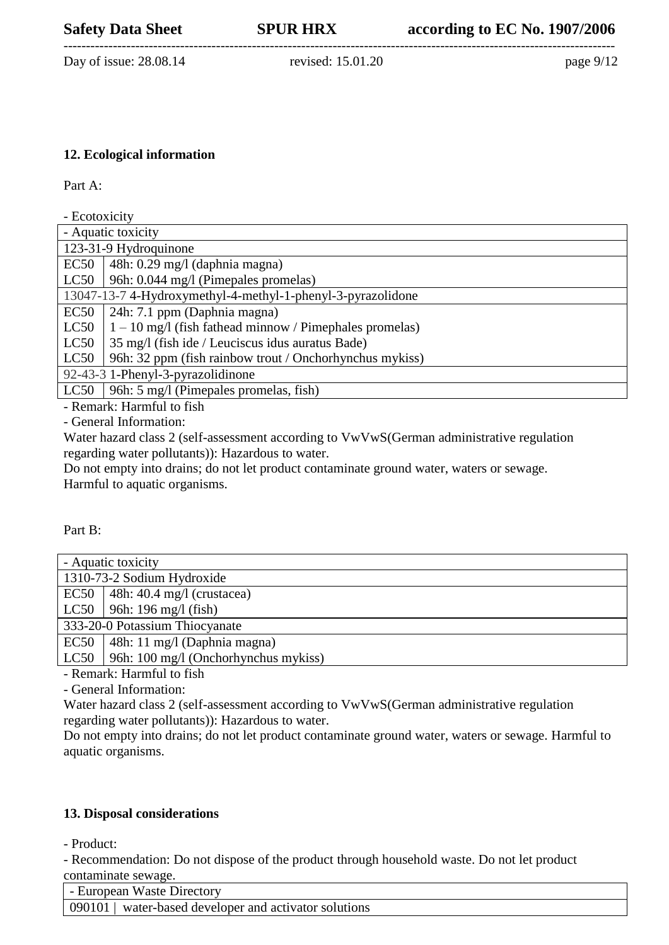--------------------------------------------------------------------------------------------------------------------------- Day of issue: 28.08.14 revised: 15.01.20 page 9/12

## **12. Ecological information**

Part A:

| - Ecotoxicity                                               |                                                           |  |  |
|-------------------------------------------------------------|-----------------------------------------------------------|--|--|
|                                                             | - Aquatic toxicity                                        |  |  |
|                                                             | 123-31-9 Hydroquinone                                     |  |  |
| EC50                                                        | 48h: 0.29 mg/l (daphnia magna)                            |  |  |
| LC50                                                        | 96h: 0.044 mg/l (Pimepales promelas)                      |  |  |
| 13047-13-7 4-Hydroxymethyl-4-methyl-1-phenyl-3-pyrazolidone |                                                           |  |  |
| EC50                                                        | 24h: 7.1 ppm (Daphnia magna)                              |  |  |
| LC50                                                        | $1 - 10$ mg/l (fish fathead minnow / Pimephales promelas) |  |  |
| LC50                                                        | 35 mg/l (fish ide / Leuciscus idus auratus Bade)          |  |  |
| LC50                                                        | 96h: 32 ppm (fish rainbow trout / Onchorhynchus mykiss)   |  |  |
|                                                             | 92-43-3 1-Phenyl-3-pyrazolidinone                         |  |  |
| LC50                                                        | 96h: 5 mg/l (Pimepales promelas, fish)                    |  |  |

- Remark: Harmful to fish

- General Information:

Water hazard class 2 (self-assessment according to VwVwS(German administrative regulation regarding water pollutants)): Hazardous to water.

Do not empty into drains; do not let product contaminate ground water, waters or sewage. Harmful to aquatic organisms.

### Part B:

| - Aquatic toxicity         |                                      |  |  |
|----------------------------|--------------------------------------|--|--|
| 1310-73-2 Sodium Hydroxide |                                      |  |  |
| EC50                       | $\vert$ 48h: 40.4 mg/l (crustacea)   |  |  |
| LC50                       | 96h: 196 mg/l (fish)                 |  |  |
|                            | 333-20-0 Potassium Thiocyanate       |  |  |
| EC50                       | 48h: 11 mg/l (Daphnia magna)         |  |  |
| LC50                       | 96h: 100 mg/l (Onchorhynchus mykiss) |  |  |
|                            |                                      |  |  |
|                            |                                      |  |  |

- Remark: Harmful to fish

- General Information:

Water hazard class 2 (self-assessment according to VwVwS(German administrative regulation regarding water pollutants)): Hazardous to water.

Do not empty into drains; do not let product contaminate ground water, waters or sewage. Harmful to aquatic organisms.

# **13. Disposal considerations**

- Product:

- Recommendation: Do not dispose of the product through household waste. Do not let product contaminate sewage.

| - European Waste Directory                           |  |
|------------------------------------------------------|--|
| 090101 water-based developer and activator solutions |  |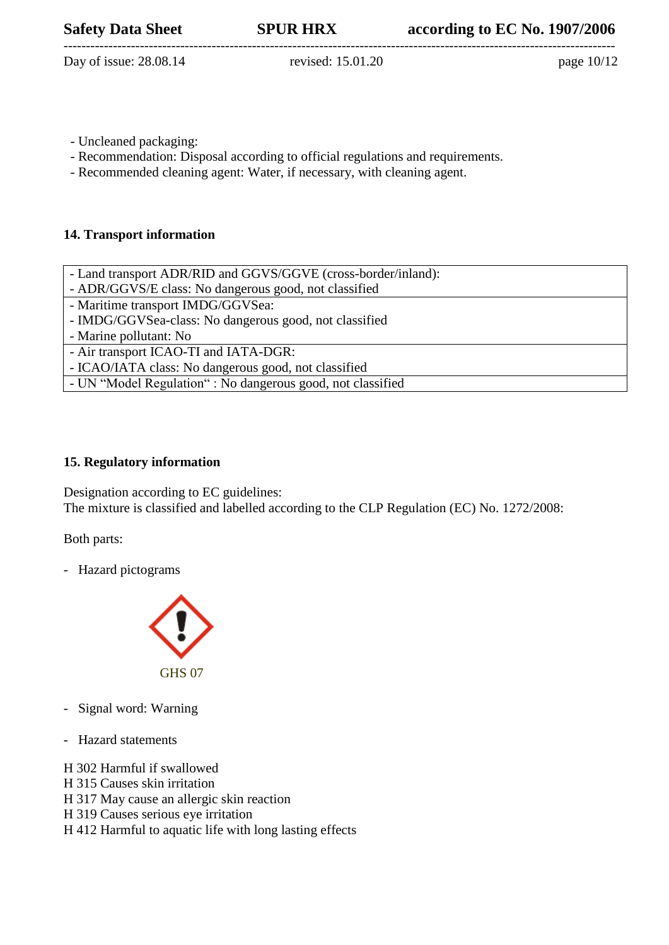--------------------------------------------------------------------------------------------------------------------------- Day of issue: 28.08.14 revised: 15.01.20 page 10/12

- Uncleaned packaging:
- Recommendation: Disposal according to official regulations and requirements.
- Recommended cleaning agent: Water, if necessary, with cleaning agent.

## **14. Transport information**

| - Land transport ADR/RID and GGVS/GGVE (cross-border/inland): |
|---------------------------------------------------------------|
| - ADR/GGVS/E class: No dangerous good, not classified         |
| - Maritime transport IMDG/GGVSea:                             |
| - IMDG/GGVSea-class: No dangerous good, not classified        |
| - Marine pollutant: No                                        |
| - Air transport ICAO-TI and IATA-DGR:                         |
| - ICAO/IATA class: No dangerous good, not classified          |
| - UN "Model Regulation" : No dangerous good, not classified   |

# **15. Regulatory information**

Designation according to EC guidelines: The mixture is classified and labelled according to the CLP Regulation (EC) No. 1272/2008:

Both parts:

- Hazard pictograms



- Signal word: Warning
- Hazard statements
- H 302 Harmful if swallowed
- H 315 Causes skin irritation
- H 317 May cause an allergic skin reaction
- H 319 Causes serious eye irritation
- H 412 Harmful to aquatic life with long lasting effects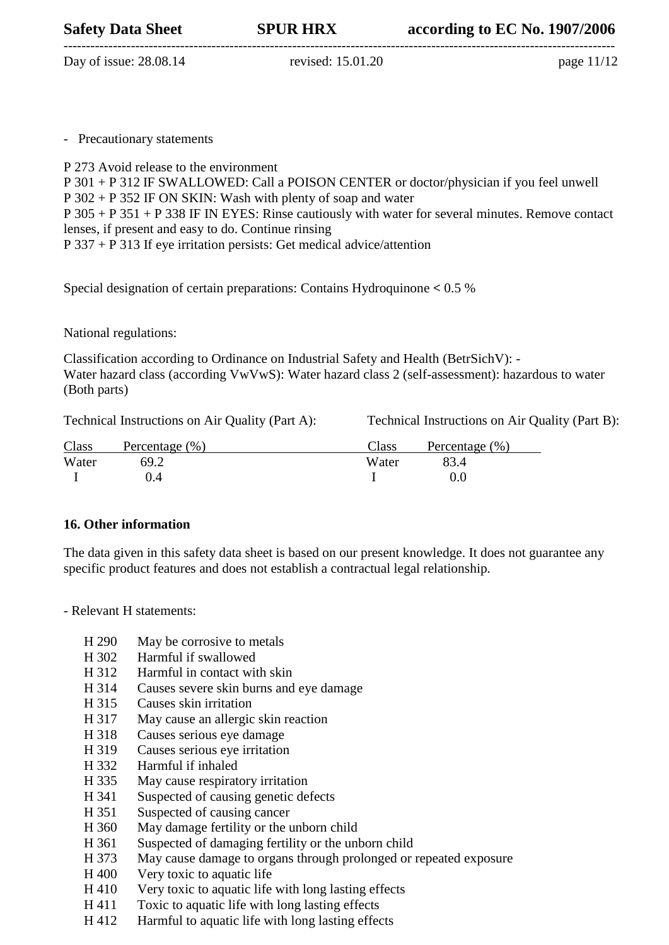---------------------------------------------------------------------------------------------------------------------------

Day of issue: 28.08.14 revised: 15.01.20 page 11/12

- Precautionary statements

P 273 Avoid release to the environment

P 301 + P 312 IF SWALLOWED: Call a POISON CENTER or doctor/physician if you feel unwell P 302 + P 352 IF ON SKIN: Wash with plenty of soap and water P 305 + P 351 + P 338 IF IN EYES: Rinse cautiously with water for several minutes. Remove contact lenses, if present and easy to do. Continue rinsing P 337 + P 313 If eye irritation persists: Get medical advice/attention

Special designation of certain preparations: Contains Hydroquinone **<** 0.5 %

National regulations:

Classification according to Ordinance on Industrial Safety and Health (BetrSichV): - Water hazard class (according VwVwS): Water hazard class 2 (self-assessment): hazardous to water (Both parts)

Technical Instructions on Air Quality (Part A): Technical Instructions on Air Quality (Part B):

| Class | Percentage $(\% )$ | Class | Percentage $(\% )$ |
|-------|--------------------|-------|--------------------|
| Water | 69.2               | Water |                    |
|       | 0.4                |       |                    |

# **16. Other information**

The data given in this safety data sheet is based on our present knowledge. It does not guarantee any specific product features and does not establish a contractual legal relationship.

- Relevant H statements:
	- H 290 May be corrosive to metals
	- H 302 Harmful if swallowed
	- H 312 Harmful in contact with skin
	- H 314 Causes severe skin burns and eye damage
	- H 315 Causes skin irritation
	- H 317 May cause an allergic skin reaction
	- H 318 Causes serious eye damage
	- H 319 Causes serious eye irritation
	- H 332 Harmful if inhaled
	- H 335 May cause respiratory irritation
	- H 341 Suspected of causing genetic defects
	- H 351 Suspected of causing cancer
	- H 360 May damage fertility or the unborn child
	- H 361 Suspected of damaging fertility or the unborn child
	- H 373 May cause damage to organs through prolonged or repeated exposure
	- H 400 Very toxic to aquatic life
	- H 410 Very toxic to aquatic life with long lasting effects
	- H 411 Toxic to aquatic life with long lasting effects
	- H 412 Harmful to aquatic life with long lasting effects